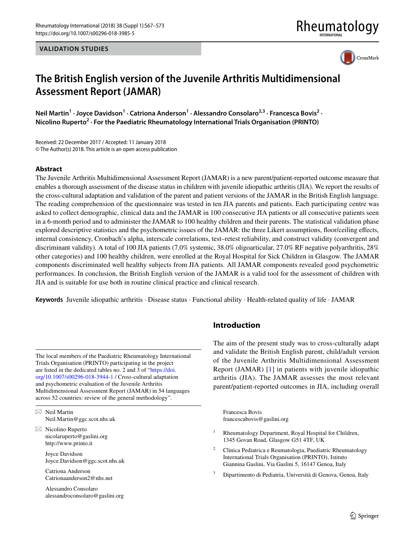**VALIDATION STUDIES**





# **The British English version of the Juvenile Arthritis Multidimensional Assessment Report (JAMAR)**

Neil Martin<sup>1</sup> · Joyce Davidson<sup>1</sup> · Catriona Anderson<sup>1</sup> · Alessandro Consolaro<sup>2,3</sup> · Francesca Bovis<sup>2</sup> · **Nicolino Ruperto<sup>2</sup> · For the Paediatric Rheumatology International Trials Organisation (PRINTO)**

Received: 22 December 2017 / Accepted: 11 January 2018 © The Author(s) 2018. This article is an open access publication

#### **Abstract**

The Juvenile Arthritis Multidimensional Assessment Report (JAMAR) is a new parent/patient-reported outcome measure that enables a thorough assessment of the disease status in children with juvenile idiopathic arthritis (JIA). We report the results of the cross-cultural adaptation and validation of the parent and patient versions of the JAMAR in the British English language. The reading comprehension of the questionnaire was tested in ten JIA parents and patients. Each participating centre was asked to collect demographic, clinical data and the JAMAR in 100 consecutive JIA patients or all consecutive patients seen in a 6-month period and to administer the JAMAR to 100 healthy children and their parents. The statistical validation phase explored descriptive statistics and the psychometric issues of the JAMAR: the three Likert assumptions, foor/ceiling efects, internal consistency, Cronbach's alpha, interscale correlations, test–retest reliability, and construct validity (convergent and discriminant validity). A total of 100 JIA patients (7.0% systemic, 38.0% oligoarticular, 27.0% RF negative polyarthritis, 28% other categories) and 100 healthy children, were enrolled at the Royal Hospital for Sick Children in Glasgow. The JAMAR components discriminated well healthy subjects from JIA patients. All JAMAR components revealed good psychometric performances. In conclusion, the British English version of the JAMAR is a valid tool for the assessment of children with JIA and is suitable for use both in routine clinical practice and clinical research.

**Keywords** Juvenile idiopathic arthritis · Disease status · Functional ability · Health-related quality of life · JAMAR

The local members of the Paediatric Rheumatology International Trials Organisation (PRINTO) participating in the project are listed in the dedicated tables no. 2 and 3 of "[https://doi.](https://doi.org/10.1007/s00296-018-3944-1) [org/10.1007/s00296-018-3944-1](https://doi.org/10.1007/s00296-018-3944-1) / Cross-cultural adaptation and psychometric evaluation of the Juvenile Arthritis Multidimensional Assessment Report (JAMAR) in 54 languages across 52 countries: review of the general methodology".

 $\boxtimes$  Neil Martin Neil.Martin@ggc.scot.nhs.uk

 $\boxtimes$  Nicolino Ruperto nicolaruperto@gaslini.org http://www.printo.it

> Joyce Davidson Joyce.Davidson@ggc.scot.nhs.uk

Catriona Anderson Catrionaanderson2@nhs.net

Alessandro Consolaro alessandroconsolaro@gaslini.org

# **Introduction**

The aim of the present study was to cross-culturally adapt and validate the British English parent, child/adult version of the Juvenile Arthritis Multidimensional Assessment Report (JAMAR) [[1\]](#page-6-0) in patients with juvenile idiopathic arthritis (JIA). The JAMAR assesses the most relevant parent/patient-reported outcomes in JIA, including overall

Francesca Bovis francescabovis@gaslini.org

- Rheumatology Department, Royal Hospital for Children, 1345 Govan Road, Glasgow G51 4TF, UK
- <sup>2</sup> Clinica Pediatrica e Reumatologia, Paediatric Rheumatology International Trials Organisation (PRINTO), Istituto Giannina Gaslini, Via Gaslini 5, 16147 Genoa, Italy
- <sup>3</sup> Dipartimento di Pediatria, Università di Genova, Genoa, Italy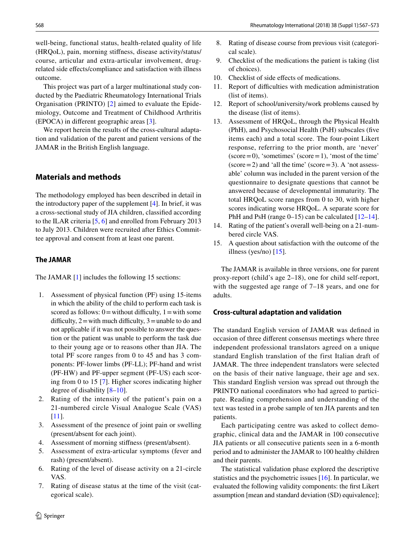well-being, functional status, health-related quality of life (HRQoL), pain, morning stifness, disease activity/status/ course, articular and extra-articular involvement, drugrelated side efects/compliance and satisfaction with illness outcome.

This project was part of a larger multinational study conducted by the Paediatric Rheumatology International Trials Organisation (PRINTO) [[2\]](#page-6-1) aimed to evaluate the Epidemiology, Outcome and Treatment of Childhood Arthritis (EPOCA) in diferent geographic areas [[3\]](#page-6-2).

We report herein the results of the cross-cultural adaptation and validation of the parent and patient versions of the JAMAR in the British English language.

# **Materials and methods**

The methodology employed has been described in detail in the introductory paper of the supplement [[4\]](#page-6-3). In brief, it was a cross-sectional study of JIA children, classifed according to the ILAR criteria [[5,](#page-6-4) [6\]](#page-6-5) and enrolled from February 2013 to July 2013. Children were recruited after Ethics Committee approval and consent from at least one parent.

### **The JAMAR**

The JAMAR [[1\]](#page-6-0) includes the following 15 sections:

- 1. Assessment of physical function (PF) using 15-items in which the ability of the child to perform each task is scored as follows:  $0 =$  without difficulty,  $1 =$  with some difficulty,  $2 =$  with much difficulty,  $3 =$  unable to do and not applicable if it was not possible to answer the question or the patient was unable to perform the task due to their young age or to reasons other than JIA. The total PF score ranges from 0 to 45 and has 3 components: PF-lower limbs (PF-LL); PF-hand and wrist (PF-HW) and PF-upper segment (PF-US) each scoring from 0 to 15 [\[7](#page-6-6)]. Higher scores indicating higher degree of disability [[8–](#page-6-7)[10](#page-6-8)].
- 2. Rating of the intensity of the patient's pain on a 21-numbered circle Visual Analogue Scale (VAS) [\[11\]](#page-6-9).
- 3. Assessment of the presence of joint pain or swelling (present/absent for each joint).
- 4. Assessment of morning stifness (present/absent).
- 5. Assessment of extra-articular symptoms (fever and rash) (present/absent).
- 6. Rating of the level of disease activity on a 21-circle VAS.
- 7. Rating of disease status at the time of the visit (categorical scale).
- 8. Rating of disease course from previous visit (categorical scale).
- 9. Checklist of the medications the patient is taking (list of choices).
- 10. Checklist of side efects of medications.
- 11. Report of difficulties with medication administration (list of items).
- 12. Report of school/university/work problems caused by the disease (list of items).
- 13. Assessment of HRQoL, through the Physical Health (PhH), and Psychosocial Health (PsH) subscales (fve items each) and a total score. The four-point Likert response, referring to the prior month, are 'never'  $(score=0)$ , 'sometimes'  $(score=1)$ , 'most of the time'  $(\text{score}=2)$  and 'all the time'  $(\text{score}=3)$ . A 'not assessable' column was included in the parent version of the questionnaire to designate questions that cannot be answered because of developmental immaturity. The total HRQoL score ranges from 0 to 30, with higher scores indicating worse HRQoL. A separate score for PhH and PsH (range  $0-15$ ) can be calculated  $[12-14]$  $[12-14]$ .
- 14. Rating of the patient's overall well-being on a 21-numbered circle VAS.
- 15. A question about satisfaction with the outcome of the illness (yes/no)  $[15]$  $[15]$ .

The JAMAR is available in three versions, one for parent proxy-report (child's age 2–18), one for child self-report, with the suggested age range of 7–18 years, and one for adults.

#### **Cross‑cultural adaptation and validation**

The standard English version of JAMAR was defned in occasion of three diferent consensus meetings where three independent professional translators agreed on a unique standard English translation of the first Italian draft of JAMAR. The three independent translators were selected on the basis of their native language, their age and sex. This standard English version was spread out through the PRINTO national coordinators who had agreed to participate. Reading comprehension and understanding of the text was tested in a probe sample of ten JIA parents and ten patients.

Each participating centre was asked to collect demographic, clinical data and the JAMAR in 100 consecutive JIA patients or all consecutive patients seen in a 6-month period and to administer the JAMAR to 100 healthy children and their parents.

The statistical validation phase explored the descriptive statistics and the psychometric issues [\[16\]](#page-6-13). In particular, we evaluated the following validity components: the frst Likert assumption [mean and standard deviation (SD) equivalence];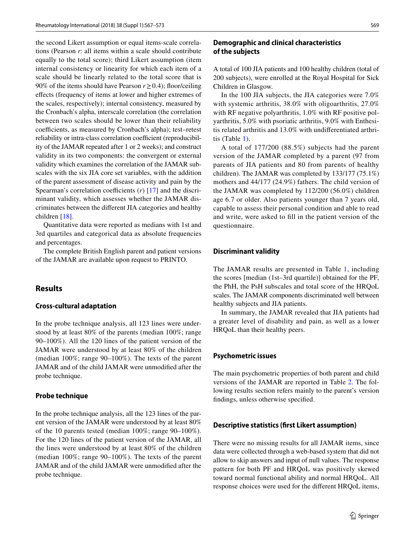the second Likert assumption or equal items-scale correlations (Pearson *r*: all items within a scale should contribute equally to the total score); third Likert assumption (item internal consistency or linearity for which each item of a scale should be linearly related to the total score that is 90% of the items should have Pearson *r*≥0.4); foor/ceiling efects (frequency of items at lower and higher extremes of the scales, respectively); internal consistency, measured by the Cronbach's alpha, interscale correlation (the correlation between two scales should be lower than their reliability coefficients, as measured by Cronbach's alpha); test–retest reliability or intra-class correlation coefficient (reproducibility of the JAMAR repeated after 1 or 2 weeks); and construct validity in its two components: the convergent or external validity which examines the correlation of the JAMAR subscales with the six JIA core set variables, with the addition of the parent assessment of disease activity and pain by the Spearman's correlation coefficients  $(r)$  [[17](#page-6-14)] and the discriminant validity, which assesses whether the JAMAR discriminates between the diferent JIA categories and healthy children [[18\]](#page-6-15).

Quantitative data were reported as medians with 1st and 3rd quartiles and categorical data as absolute frequencies and percentages.

The complete British English parent and patient versions of the JAMAR are available upon request to PRINTO.

# **Results**

#### **Cross‑cultural adaptation**

In the probe technique analysis, all 123 lines were understood by at least 80% of the parents (median 100%; range 90–100%). All the 120 lines of the patient version of the JAMAR were understood by at least 80% of the children (median 100%; range 90–100%). The texts of the parent JAMAR and of the child JAMAR were unmodifed after the probe technique.

#### **Probe technique**

In the probe technique analysis, all the 123 lines of the parent version of the JAMAR were understood by at least 80% of the 10 parents tested (median 100%; range 90–100%). For the 120 lines of the patient version of the JAMAR, all the lines were understood by at least 80% of the children (median 100%; range 90–100%). The texts of the parent JAMAR and of the child JAMAR were unmodifed after the probe technique.

### **Demographic and clinical characteristics of the subjects**

A total of 100 JIA patients and 100 healthy children (total of 200 subjects), were enrolled at the Royal Hospital for Sick Children in Glasgow.

In the 100 JIA subjects, the JIA categories were 7.0% with systemic arthritis, 38.0% with oligoarthritis, 27.0% with RF negative polyarthritis, 1.0% with RF positive polyarthritis, 5.0% with psoriatic arthritis, 9.0% with Enthesitis related arthritis and 13.0% with undiferentiated arthritis (Table [1](#page-3-0)).

A total of 177/200 (88.5%) subjects had the parent version of the JAMAR completed by a parent (97 from parents of JIA patients and 80 from parents of healthy children). The JAMAR was completed by 133/177 (75.1%) mothers and 44/177 (24.9%) fathers. The child version of the JAMAR was completed by 112/200 (56.0%) children age 6.7 or older. Also patients younger than 7 years old, capable to assess their personal condition and able to read and write, were asked to fll in the patient version of the questionnaire.

#### **Discriminant validity**

The JAMAR results are presented in Table [1,](#page-3-0) including the scores [median (1st–3rd quartile)] obtained for the PF, the PhH, the PsH subscales and total score of the HRQoL scales. The JAMAR components discriminated well between healthy subjects and JIA patients.

In summary, the JAMAR revealed that JIA patients had a greater level of disability and pain, as well as a lower HRQoL than their healthy peers.

#### **Psychometric issues**

The main psychometric properties of both parent and child versions of the JAMAR are reported in Table [2.](#page-4-0) The following results section refers mainly to the parent's version fndings, unless otherwise specifed.

#### **Descriptive statistics (frst Likert assumption)**

There were no missing results for all JAMAR items, since data were collected through a web-based system that did not allow to skip answers and input of null values. The response pattern for both PF and HRQoL was positively skewed toward normal functional ability and normal HRQoL. All response choices were used for the diferent HRQoL items,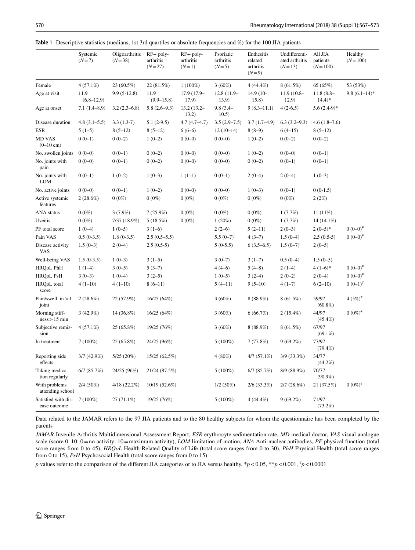<span id="page-3-0"></span>

|  | Table 1 Descriptive statistics (medians, 1st 3rd quartiles or absolute frequencies and %) for the 100 JIA patients |  |  |  |  |  |  |
|--|--------------------------------------------------------------------------------------------------------------------|--|--|--|--|--|--|
|--|--------------------------------------------------------------------------------------------------------------------|--|--|--|--|--|--|

|                                      | Systemic<br>$(N=7)$    | Oligoarthritis<br>$(N=38)$ | $RF$ - poly-<br>arthritis<br>$(N=27)$ | $RF+$ poly-<br>arthritis<br>$(N=1)$ | Psoriatic<br>arthritis<br>$(N=5)$ | Enthesitis<br>related<br>arthritis<br>$(N=9)$ | Undifferenti-<br>ated arthritis<br>$(N=13)$ | All JIA<br>patients<br>$(N=100)$    | Healthy<br>$(N=100)$ |
|--------------------------------------|------------------------|----------------------------|---------------------------------------|-------------------------------------|-----------------------------------|-----------------------------------------------|---------------------------------------------|-------------------------------------|----------------------|
| Female                               | $4(57.1\%)$            | 23 (60.5%)                 | 22 (81.5%)                            | $1(100\%)$                          | $3(60\%)$                         | 4 (44.4%)                                     | 8 (61.5%)                                   | 65 (65%)                            | 53 (53%)             |
| Age at visit                         | 11.9<br>$(6.8 - 12.9)$ | $9.9(5-12.8)$              | 11.9<br>$(9.9 - 15.8)$                | 17.9 (17.9-<br>17.9)                | 12.8 (11.9-<br>13.9)              | 14.9 (10-<br>15.8)                            | $11.9(10.8 -$<br>12.9)                      | $11.8(8.8 -$<br>$14.4$ <sup>*</sup> | $9.8(6.1-14)*$       |
| Age at onset                         | 7.1(1.4–8.9)           | $3.2(2.3-6.8)$             | $5.8(2.6-9.3)$                        | $13.2(13.2 -$<br>13.2)              | $9.8(3.4 -$<br>10.5)              | $9(8.3 - 11.1)$                               | $4(2-6.5)$                                  | $5.6(2.4-9)$ *                      |                      |
| Disease duration                     | $4.8(3.1-5.5)$         | $3.3(1.3-7)$               | $5.1(2-9.5)$                          | $4.7(4.7 - 4.7)$                    | $3.5(2.9 - 7.5)$                  | $3.7(1.7-4.9)$                                | $6.3(3.2-9.3)$                              | $4.6(1.8-7.6)$                      |                      |
| <b>ESR</b>                           | $5(1-5)$               | $8(5-12)$                  | $8(5-12)$                             | $6(6-6)$                            | $12(10-14)$                       | $8(8-9)$                                      | $6(4-15)$                                   | $8(5-12)$                           |                      |
| <b>MD VAS</b><br>$(0-10 \text{ cm})$ | $0(0-1)$               | $0(0-2)$                   | $1(0-2)$                              | $0(0-0)$                            | $0(0-0)$                          | $1(0-2)$                                      | $0(0-2)$                                    | $0(0-2)$                            |                      |
| No. swollen joints                   | $0(0-0)$               | $0(0-1)$                   | $0(0-2)$                              | $0(0-0)$                            | $0(0-0)$                          | $1(0-2)$                                      | $0(0-0)$                                    | $0(0-1)$                            |                      |
| No. joints with<br>pain              | $0(0-0)$               | $0(0-1)$                   | $0(0-2)$                              | $0(0-0)$                            | $0(0-0)$                          | $0(0-2)$                                      | $0(0-1)$                                    | $0(0-1)$                            |                      |
| No. joints with<br><b>LOM</b>        | $0(0-1)$               | $1(0-2)$                   | $1(0-3)$                              | $1(1-1)$                            | $0(0-1)$                          | $2(0-4)$                                      | $2(0-4)$                                    | $1(0-3)$                            |                      |
| No. active joints                    | $0(0-0)$               | $0(0-1)$                   | $1(0-2)$                              | $0(0-0)$                            | $0(0-0)$                          | $1(0-3)$                                      | $0(0-1)$                                    | $0(0-1.5)$                          |                      |
| Active systemic<br>features          | $2(28.6\%)$            | $0(0\%)$                   | $0(0\%)$                              | $0(0\%)$                            | $0(0\%)$                          | $0(0\%)$                                      | $0(0\%)$                                    | 2(2%)                               |                      |
| ANA status                           | $0(0\%)$               | $3(7.9\%)$                 | 7(25.9%)                              | $0(0\%)$                            | $0(0\%)$                          | $0(0\%)$                                      | 1(7.7%)                                     | $11(11\%)$                          |                      |
| Uveitis                              | $0(0\%)$               | 7/37 (18.9%)               | 5(18.5%)                              | $0(0\%)$                            | $1(20\%)$                         | $0(0\%)$                                      | 1(7.7%)                                     | 14 (14.1%)                          |                      |
| PF total score                       | $1(0-4)$               | $1(0-5)$                   | $3(1-6)$                              |                                     | $2(2-6)$                          | $5(2-11)$                                     | $2(0-3)$                                    | $2(0-5)*$                           | $0(0-0)^*$           |
| Pain VAS                             | $0.5(0-3.5)$           | $1.8(0-3.5)$               | $2.5(0.5-5.5)$                        |                                     | $5.5(0-7)$                        | $4(3-7)$                                      | $1.5(0-4)$                                  | $2.5(0.5-5)$                        | $0(0-0)^{*}$         |
| Disease activity<br>VAS              | $1.5(0-3)$             | $2(0-4)$                   | $2.5(0.5-5)$                          |                                     | $5(0-5.5)$                        | $6(3.5-6.5)$                                  | $1.5(0-7)$                                  | $2(0-5)$                            |                      |
| Well-being VAS                       | $1.5(0-3.5)$           | $1(0-3)$                   | $3(1-5)$                              |                                     | $3(0-7)$                          | $3(1-7)$                                      | $0.5(0-4)$                                  | $1.5(0-5)$                          |                      |
| <b>HRQoL PhH</b>                     | $1(1-4)$               | $3(0-5)$                   | $5(3-7)$                              |                                     | $4(4-6)$                          | $5(4-8)$                                      | $2(1-4)$                                    | $4(1-6)*$                           | $0(0-0)^*$           |
| <b>HRQoL PsH</b>                     | $3(0-3)$               | $1(0-4)$                   | $3(2-5)$                              |                                     | $1(0-5)$                          | $3(2-4)$                                      | $2(0-2)$                                    | $2(0-4)$                            | $0(0-0)^{*}$         |
| <b>HRQoL</b> total<br>score          | $4(1-10)$              | $4(1-10)$                  | $8(6-11)$                             |                                     | $5(4-11)$                         | $9(5-10)$                                     | $4(1-7)$                                    | $6(2-10)$                           | $0(0-1)^{#}$         |
| Pain/swell. in $>1$<br>joint         | 2(28.6%)               | 22 (57.9%)                 | 16/25 (64%)                           |                                     | $3(60\%)$                         | 8 (88.9%)                                     | 8 (61.5%)                                   | 59/97<br>$(60.8\%)$                 | $4(5%)^{\#}$         |
| Morning stiff-<br>ness > 15 min      | 3(42.9%)               | 14 (36.8%)                 | 16/25(64%)                            |                                     | $3(60\%)$                         | 6(66.7%)                                      | $2(15.4\%)$                                 | 44/97<br>$(45.4\%)$                 | $0(0\%)^{\#}$        |
| Subjective remis-<br>sion            | $4(57.1\%)$            | 25 (65.8%)                 | 19/25 (76%)                           |                                     | $3(60\%)$                         | 8 (88.9%)                                     | 8 (61.5%)                                   | 67/97<br>$(69.1\%)$                 |                      |
| In treatment                         | $7(100\%)$             | 25 (65.8%)                 | 24/25 (96%)                           |                                     | $5(100\%)$                        | 7(77.8%)                                      | 9(69.2%)                                    | 77/97<br>$(79.4\%)$                 |                      |
| Reporting side<br>effects            | 3/7(42.9%)             | 5/25(20%)                  | 15/25 (62.5%)                         |                                     | 4 (80%)                           | $4/7(57.1\%)$                                 | $3/9$ (33.3%)                               | 34/77<br>(44.2%)                    |                      |
| Taking medica-<br>tion regularly     | $6/7$ $(85.7%)$        | 24/25 (96%)                | 21/24 (87.5%)                         |                                     | $5(100\%)$                        | $6/7$ $(85.7%)$                               | 8/9 (88.9%)                                 | 70/77<br>$(90.9\%)$                 |                      |
| With problems<br>attending school    | $2/4(50\%)$            | 4/18 (22.2%)               | 10/19 (52.6%)                         |                                     | $1/2(50\%)$                       | $2/6$ (33.3%)                                 | 2/7(28.6%)                                  | 21 (37.5%)                          | $0(0\%)^{\#}$        |
| Satisfied with dis-<br>ease outcome  | $7(100\%)$             | 27 (71.1%)                 | 19/25 (76%)                           |                                     | $5(100\%)$                        | 4 (44.4%)                                     | 9(69.2%)                                    | 71/97<br>$(73.2\%)$                 |                      |

Data related to the JAMAR refers to the 97 JIA patients and to the 80 healthy subjects for whom the questionnaire has been completed by the parents

*JAMAR* Juvenile Arthritis Multidimensional Assessment Report, *ESR* erythrocyte sedimentation rate, *MD* medical doctor, *VAS* visual analogue scale (score 0–10; 0=no activity; 10=maximum activity), *LOM* limitation of motion, *ANA* Anti-nuclear antibodies, *PF* physical function (total score ranges from 0 to 45), *HRQoL* Health-Related Quality of Life (total score ranges from 0 to 30), *PhH* Physical Health (total score ranges from 0 to 15), *PsH* Psychosocial Health (total score ranges from 0 to 15)

*p* values refer to the comparison of the different JIA categories or to JIA versus healthy.  $*p < 0.05$ ,  $*p < 0.001$ ,  $*p < 0.0001$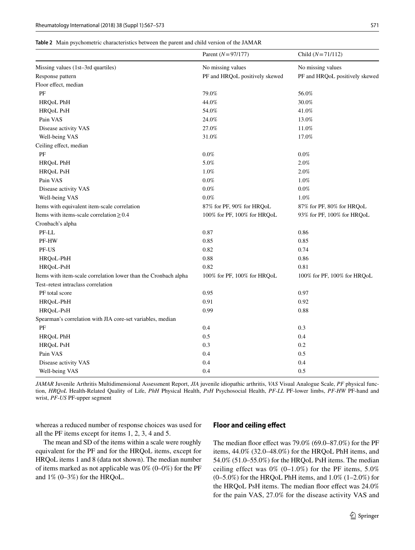<span id="page-4-0"></span>

|  | <b>Table 2</b> Main psychometric characteristics between the parent and child version of the JAMAR |  |  |  |  |  |  |
|--|----------------------------------------------------------------------------------------------------|--|--|--|--|--|--|
|--|----------------------------------------------------------------------------------------------------|--|--|--|--|--|--|

|                                                                 | Parent ( $N = 97/177$ )        | Child $(N=71/112)$                |
|-----------------------------------------------------------------|--------------------------------|-----------------------------------|
| Missing values (1st-3rd quartiles)                              | No missing values              | No missing values                 |
| Response pattern                                                | PF and HRQoL positively skewed | PF and HRQoL positively skewed    |
| Floor effect, median                                            |                                |                                   |
| PF                                                              | 79.0%                          | 56.0%                             |
| <b>HRQoL PhH</b>                                                | 44.0%                          | 30.0%                             |
| <b>HRQoL PsH</b>                                                | 54.0%                          | 41.0%                             |
| Pain VAS                                                        | 24.0%                          | 13.0%                             |
| Disease activity VAS                                            | 27.0%                          | 11.0%                             |
| Well-being VAS                                                  | 31.0%                          | 17.0%                             |
| Ceiling effect, median                                          |                                |                                   |
| PF                                                              | 0.0%                           | $0.0\%$                           |
| HRQoL PhH                                                       | 5.0%                           | 2.0%                              |
| <b>HRQoL PsH</b>                                                | 1.0%                           | 2.0%                              |
| Pain VAS                                                        | 0.0%                           | 1.0%                              |
| Disease activity VAS                                            | 0.0%                           | 0.0%                              |
| Well-being VAS                                                  | 0.0%                           | 1.0%                              |
| Items with equivalent item-scale correlation                    | 87% for PF, 90% for HRQoL      | 87% for PF, 80% for HRQoL         |
| Items with items-scale correlation $\geq 0.4$                   | 100% for PF, 100% for HRQoL    | 93% for PF, 100% for HRQoL        |
| Cronbach's alpha                                                |                                |                                   |
| PF-LL                                                           | 0.87                           | 0.86                              |
| PF-HW                                                           | 0.85                           | 0.85                              |
| PF-US                                                           | 0.82                           | 0.74                              |
| HRQoL-PhH                                                       | 0.88                           | 0.86                              |
| HRQoL-PsH                                                       | 0.82                           | 0.81                              |
| Items with item-scale correlation lower than the Cronbach alpha | 100% for PF, 100% for HRQoL    | $100\%$ for PF, $100\%$ for HRQoL |
| Test-retest intraclass correlation                              |                                |                                   |
| PF total score                                                  | 0.95                           | 0.97                              |
| HRQoL-PhH                                                       | 0.91                           | 0.92                              |
| HRQoL-PsH                                                       | 0.99                           | 0.88                              |
| Spearman's correlation with JIA core-set variables, median      |                                |                                   |
| PF                                                              | 0.4                            | 0.3                               |
| HRQoL PhH                                                       | 0.5                            | 0.4                               |
| <b>HRQoL PsH</b>                                                | 0.3                            | 0.2                               |
| Pain VAS                                                        | 0.4                            | 0.5                               |
| Disease activity VAS                                            | 0.4                            | 0.4                               |
| Well-being VAS                                                  | 0.4                            | 0.5                               |

*JAMAR* Juvenile Arthritis Multidimensional Assessment Report, *JIA* juvenile idiopathic arthritis, *VAS* Visual Analogue Scale, *PF* physical function, *HRQoL* Health-Related Quality of Life, *PhH* Physical Health, *PsH* Psychosocial Health, *PF-LL* PF-lower limbs, *PF-HW* PF-hand and wrist, *PF-US* PF-upper segment

whereas a reduced number of response choices was used for all the PF items except for items 1, 2, 3, 4 and 5.

The mean and SD of the items within a scale were roughly equivalent for the PF and for the HRQoL items, except for HRQoL items 1 and 8 (data not shown). The median number of items marked as not applicable was  $0\%$  (0–0%) for the PF and 1% (0–3%) for the HRQoL.

#### **Floor and ceiling efect**

The median floor effect was 79.0% (69.0–87.0%) for the PF items, 44.0% (32.0–48.0%) for the HRQoL PhH items, and 54.0% (51.0–55.0%) for the HRQoL PsH items. The median ceiling effect was  $0\%$  (0–1.0%) for the PF items, 5.0% (0–5.0%) for the HRQoL PhH items, and 1.0% (1–2.0%) for the HRQoL PsH items. The median floor effect was 24.0% for the pain VAS, 27.0% for the disease activity VAS and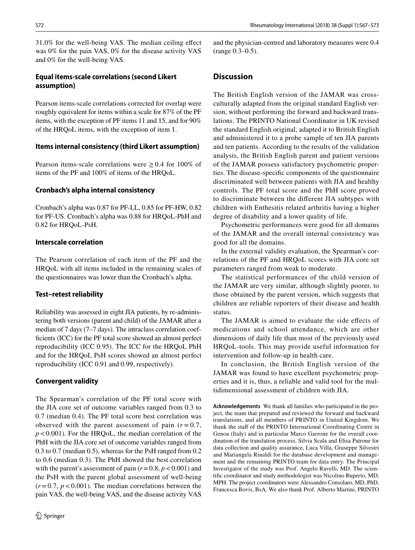31.0% for the well-being VAS. The median ceiling efect was 0% for the pain VAS, 0% for the disease activity VAS and 0% for the well-being VAS.

# **Equal items‑scale correlations (second Likert assumption)**

Pearson items-scale correlations corrected for overlap were roughly equivalent for items within a scale for 87% of the PF items, with the exception of PF items 11 and 15, and for 90% of the HRQoL items, with the exception of item 1.

# **Items internal consistency (third Likert assumption)**

Pearson items-scale correlations were  $> 0.4$  for 100% of items of the PF and 100% of items of the HRQoL.

# **Cronbach's alpha internal consistency**

Cronbach's alpha was 0.87 for PF-LL, 0.85 for PF-HW, 0.82 for PF-US. Cronbach's alpha was 0.88 for HRQoL-PhH and 0.82 for HRQoL-PsH.

# **Interscale correlation**

The Pearson correlation of each item of the PF and the HRQoL with all items included in the remaining scales of the questionnaires was lower than the Cronbach's alpha.

# **Test–retest reliability**

Reliability was assessed in eight JIA patients, by re-administering both versions (parent and child) of the JAMAR after a median of 7 days (7–7 days). The intraclass correlation coeffcients (ICC) for the PF total score showed an almost perfect reproducibility (ICC 0.95). The ICC for the HRQoL PhH and for the HRQoL PsH scores showed an almost perfect reproducibility (ICC 0.91 and 0.99, respectively).

# **Convergent validity**

The Spearman's correlation of the PF total score with the JIA core set of outcome variables ranged from 0.3 to 0.7 (median 0.4). The PF total score best correlation was observed with the parent assessment of pain  $(r=0.7)$ , *p*<0.001). For the HRQoL, the median correlation of the PhH with the JIA core set of outcome variables ranged from 0.3 to 0.7 (median 0.5), whereas for the PsH ranged from 0.2 to 0.6 (median 0.3). The PhH showed the best correlation with the parent's assessment of pain  $(r=0.8, p<0.001)$  and the PsH with the parent global assessment of well-being  $(r=0.7, p<0.001)$ . The median correlations between the pain VAS, the well-being VAS, and the disease activity VAS and the physician-centred and laboratory measures were 0.4 (range 0.3–0.5).

# **Discussion**

The British English version of the JAMAR was crossculturally adapted from the original standard English version, without performing the forward and backward translations. The PRINTO National Coordinator in UK revised the standard English original, adapted it to British English and administered it to a probe sample of ten JIA parents and ten patients. According to the results of the validation analysis, the British English parent and patient versions of the JAMAR possess satisfactory psychometric properties. The disease-specifc components of the questionnaire discriminated well between patients with JIA and healthy controls. The PF total score and the PhH score proved to discriminate between the diferent JIA subtypes with children with Enthesitis related arthritis having a higher degree of disability and a lower quality of life.

Psychometric performances were good for all domains of the JAMAR and the overall internal consistency was good for all the domains.

In the external validity evaluation, the Spearman's correlations of the PF and HRQoL scores with JIA core set parameters ranged from weak to moderate.

The statistical performances of the child version of the JAMAR are very similar, although slightly poorer, to those obtained by the parent version, which suggests that children are reliable reporters of their disease and health status.

The JAMAR is aimed to evaluate the side effects of medications and school attendance, which are other dimensions of daily life than most of the previously used HRQoL-tools. This may provide useful information for intervention and follow-up in health care.

In conclusion, the British English version of the JAMAR was found to have excellent psychometric properties and it is, thus, a reliable and valid tool for the multidimensional assessment of children with JIA.

**Acknowledgements** We thank all families who participated in the project, the team that prepared and reviewed the forward and backward translations, and all members of PRINTO in United Kingdom. We thank the staff of the PRINTO International Coordinating Centre in Genoa (Italy) and in particular Marco Garrone for the overall coordination of the translation process, Silvia Scala and Elisa Patrone for data collection and quality assurance, Luca Villa, Giuseppe Silvestri and Mariangela Rinaldi for the database development and management and the remaining PRINTO team for data entry. The Principal Investigator of the study was Prof. Angelo Ravelli, MD. The scientifc coordinator and study methodologist was Nicolino Ruperto, MD, MPH. The project coordinators were Alessandro Consolaro, MD, PhD, Francesca Bovis, BsA. We also thank Prof. Alberto Martini, PRINTO